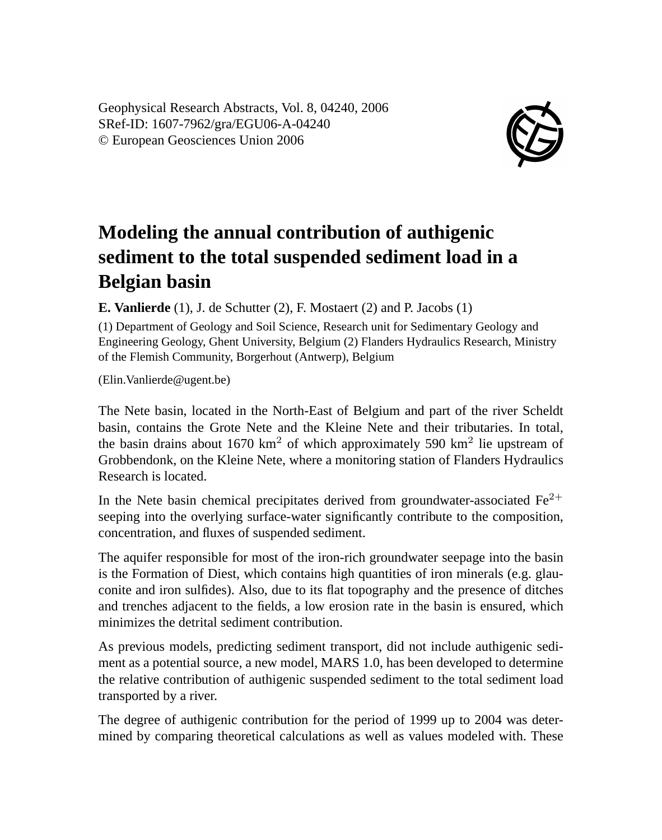Geophysical Research Abstracts, Vol. 8, 04240, 2006 SRef-ID: 1607-7962/gra/EGU06-A-04240 © European Geosciences Union 2006



## **Modeling the annual contribution of authigenic sediment to the total suspended sediment load in a Belgian basin**

**E. Vanlierde** (1), J. de Schutter (2), F. Mostaert (2) and P. Jacobs (1)

(1) Department of Geology and Soil Science, Research unit for Sedimentary Geology and Engineering Geology, Ghent University, Belgium (2) Flanders Hydraulics Research, Ministry of the Flemish Community, Borgerhout (Antwerp), Belgium

(Elin.Vanlierde@ugent.be)

The Nete basin, located in the North-East of Belgium and part of the river Scheldt basin, contains the Grote Nete and the Kleine Nete and their tributaries. In total, the basin drains about 1670 km<sup>2</sup> of which approximately 590 km<sup>2</sup> lie upstream of Grobbendonk, on the Kleine Nete, where a monitoring station of Flanders Hydraulics Research is located.

In the Nete basin chemical precipitates derived from groundwater-associated  $Fe^{2+}$ seeping into the overlying surface-water significantly contribute to the composition, concentration, and fluxes of suspended sediment.

The aquifer responsible for most of the iron-rich groundwater seepage into the basin is the Formation of Diest, which contains high quantities of iron minerals (e.g. glauconite and iron sulfides). Also, due to its flat topography and the presence of ditches and trenches adjacent to the fields, a low erosion rate in the basin is ensured, which minimizes the detrital sediment contribution.

As previous models, predicting sediment transport, did not include authigenic sediment as a potential source, a new model, MARS 1.0, has been developed to determine the relative contribution of authigenic suspended sediment to the total sediment load transported by a river.

The degree of authigenic contribution for the period of 1999 up to 2004 was determined by comparing theoretical calculations as well as values modeled with. These